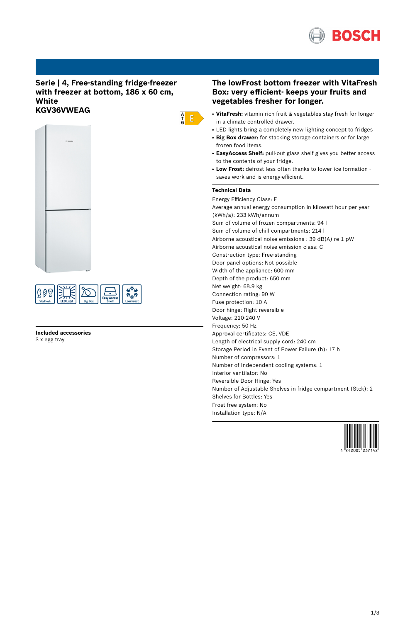

# **Serie | 4, Free-standing fridge-freezer with freezer at bottom, 186 x 60 cm, White KGV36VWEAG**





**Included accessories** 3 x egg tray

# **The lowFrost bottom freezer with VitaFresh Box: very efficient- keeps your fruits and vegetables fresher for longer.**

- VitaFresh: vitamin rich fruit & vegetables stay fresh for longer in a climate controlled drawer.
- LED lights bring a completely new lighting concept to fridges
- **Big Box drawer:** for stacking storage containers or for large frozen food items.
- **EasyAccess Shelf:** pull-out glass shelf gives you better access to the contents of your fridge.
- Low Frost: defrost less often thanks to lower ice formation saves work and is energy-efficient.

# **Technical Data**

 $\begin{array}{c} A \\ \uparrow \\ G \end{array}$ 

Energy Efficiency Class: E Average annual energy consumption in kilowatt hour per year (kWh/a): 233 kWh/annum Sum of volume of frozen compartments: 94 l Sum of volume of chill compartments: 214 l Airborne acoustical noise emissions : 39 dB(A) re 1 pW Airborne acoustical noise emission class: C Construction type: Free-standing Door panel options: Not possible Width of the appliance: 600 mm Depth of the product: 650 mm Net weight: 68.9 kg Connection rating: 90 W Fuse protection: 10 A Door hinge: Right reversible Voltage: 220-240 V Frequency: 50 Hz Approval certificates: CE, VDE Length of electrical supply cord: 240 cm Storage Period in Event of Power Failure (h): 17 h Number of compressors: 1 Number of independent cooling systems: 1 Interior ventilator: No Reversible Door Hinge: Yes Number of Adjustable Shelves in fridge compartment (Stck): 2 Shelves for Bottles: Yes Frost free system: No Installation type: N/A

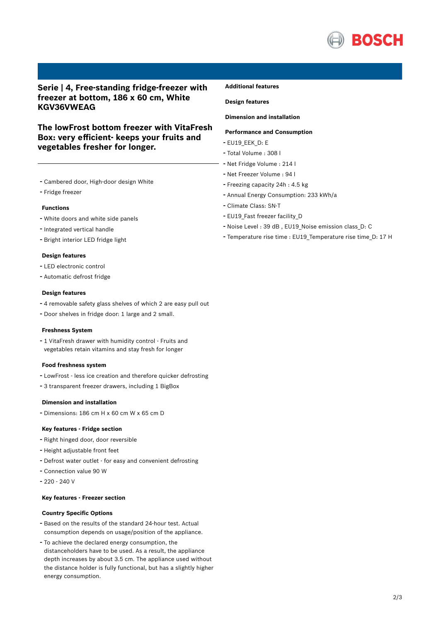

# **Serie | 4, Free-standing fridge-freezer with freezer at bottom, 186 x 60 cm, White KGV36VWEAG**

**The lowFrost bottom freezer with VitaFresh Box: very efficient- keeps your fruits and vegetables fresher for longer.**

- Cambered door, High-door design White
- Fridge freezer

## **Functions**

- White doors and white side panels
- Integrated vertical handle
- Bright interior LED fridge light

## **Design features**

- LED electronic control
- Automatic defrost fridge

## **Design features**

- <sup>4</sup> removable safety glass shelves of which <sup>2</sup> are easy pull out
- Door shelves in fridge door: <sup>1</sup> large and <sup>2</sup> small.

## **Freshness System**

- <sup>1</sup> VitaFresh drawer with humidity control - Fruits and vegetables retain vitamins and stay fresh for longer

#### **Food freshness system**

- LowFrost less ice creation and therefore quicker defrosting
- <sup>3</sup> transparent freezer drawers, including <sup>1</sup> BigBox

## **Dimension and installation**

- Dimensions: 186 cm H x 60 cm W x 65 cm D

## **Key features - Fridge section**

- Right hinged door, door reversible
- Height adjustable front feet
- Defrost water outlet for easy and convenient defrosting
- Connection value <sup>90</sup> <sup>W</sup>
- 220 240 V

## **Key features - Freezer section**

# **Country Specific Options**

- Based on the results of the standard 24-hour test. Actual consumption depends on usage/position of the appliance.
- To achieve the declared energy consumption, the distanceholders have to be used. As a result, the appliance depth increases by about 3.5 cm. The appliance used without the distance holder is fully functional, but has a slightly higher energy consumption.

## **Additional features**

**Design features**

## **Dimension and installation**

## **Performance and Consumption**

- EU19\_EEK\_D: E
- Total Volume : <sup>308</sup> <sup>l</sup>
- Net Fridge Volume : <sup>214</sup> <sup>l</sup>
- Net Freezer Volume : <sup>94</sup> <sup>l</sup>
- Freezing capacity 24h : 4.5 kg
- Annual Energy Consumption: <sup>233</sup> kWh/a
- Climate Class: SN-T
- EU19 Fast freezer facility D
- Noise Level : <sup>39</sup> dB , EU19\_Noise emission class\_D: <sup>C</sup>
- Temperature rise time : EU19\_Temperature rise time\_D: <sup>17</sup> <sup>H</sup>